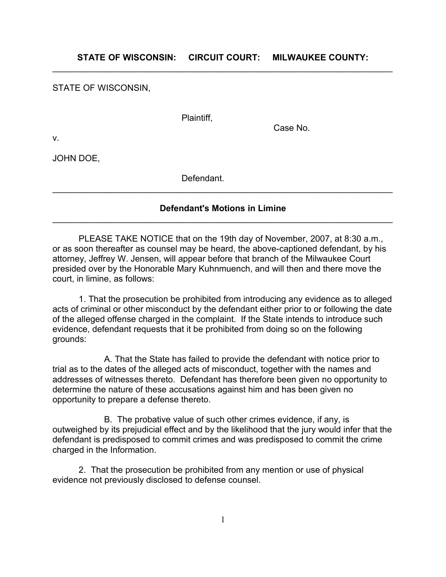**STATE OF WISCONSIN: CIRCUIT COURT: MILWAUKEE COUNTY:**  $\mathcal{L}_\text{max} = \mathcal{L}_\text{max} = \mathcal{L}_\text{max} = \mathcal{L}_\text{max} = \mathcal{L}_\text{max} = \mathcal{L}_\text{max} = \mathcal{L}_\text{max} = \mathcal{L}_\text{max} = \mathcal{L}_\text{max} = \mathcal{L}_\text{max} = \mathcal{L}_\text{max} = \mathcal{L}_\text{max} = \mathcal{L}_\text{max} = \mathcal{L}_\text{max} = \mathcal{L}_\text{max} = \mathcal{L}_\text{max} = \mathcal{L}_\text{max} = \mathcal{L}_\text{max} = \mathcal{$ 

STATE OF WISCONSIN,

Plaintiff,

Case No.

v.

JOHN DOE,

Defendant.

## **Defendant's Motions in Limine**  $\mathcal{L}_\text{max} = \mathcal{L}_\text{max} = \mathcal{L}_\text{max} = \mathcal{L}_\text{max} = \mathcal{L}_\text{max} = \mathcal{L}_\text{max} = \mathcal{L}_\text{max} = \mathcal{L}_\text{max} = \mathcal{L}_\text{max} = \mathcal{L}_\text{max} = \mathcal{L}_\text{max} = \mathcal{L}_\text{max} = \mathcal{L}_\text{max} = \mathcal{L}_\text{max} = \mathcal{L}_\text{max} = \mathcal{L}_\text{max} = \mathcal{L}_\text{max} = \mathcal{L}_\text{max} = \mathcal{$

 $\mathcal{L}_\text{max} = \mathcal{L}_\text{max} = \mathcal{L}_\text{max} = \mathcal{L}_\text{max} = \mathcal{L}_\text{max} = \mathcal{L}_\text{max} = \mathcal{L}_\text{max} = \mathcal{L}_\text{max} = \mathcal{L}_\text{max} = \mathcal{L}_\text{max} = \mathcal{L}_\text{max} = \mathcal{L}_\text{max} = \mathcal{L}_\text{max} = \mathcal{L}_\text{max} = \mathcal{L}_\text{max} = \mathcal{L}_\text{max} = \mathcal{L}_\text{max} = \mathcal{L}_\text{max} = \mathcal{$ 

PLEASE TAKE NOTICE that on the 19th day of November, 2007, at 8:30 a.m., or as soon thereafter as counsel may be heard, the above-captioned defendant, by his attorney, Jeffrey W. Jensen, will appear before that branch of the Milwaukee Court presided over by the Honorable Mary Kuhnmuench, and will then and there move the court, in limine, as follows:

1. That the prosecution be prohibited from introducing any evidence as to alleged acts of criminal or other misconduct by the defendant either prior to or following the date of the alleged offense charged in the complaint. If the State intends to introduce such evidence, defendant requests that it be prohibited from doing so on the following grounds:

A. That the State has failed to provide the defendant with notice prior to trial as to the dates of the alleged acts of misconduct, together with the names and addresses of witnesses thereto. Defendant has therefore been given no opportunity to determine the nature of these accusations against him and has been given no opportunity to prepare a defense thereto.

B. The probative value of such other crimes evidence, if any, is outweighed by its prejudicial effect and by the likelihood that the jury would infer that the defendant is predisposed to commit crimes and was predisposed to commit the crime charged in the Information.

2. That the prosecution be prohibited from any mention or use of physical evidence not previously disclosed to defense counsel.